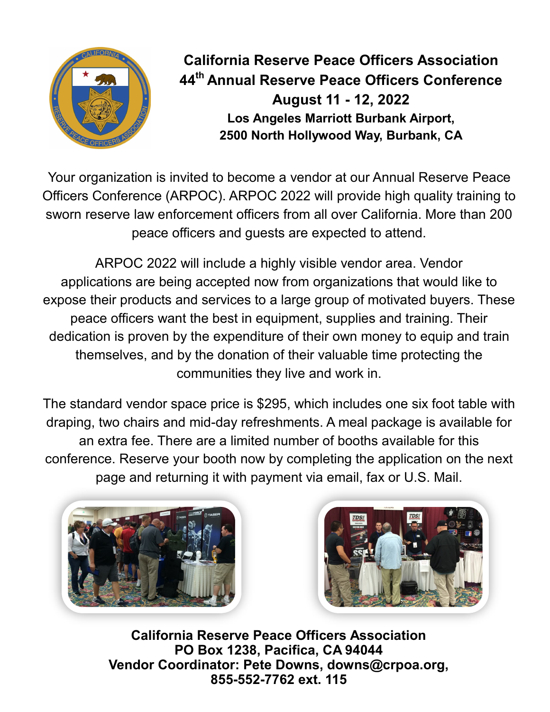

**California Reserve Peace Officers Association 44th Annual Reserve Peace Officers Conference August 11 - 12, 2022 Los Angeles Marriott Burbank Airport, 2500 North Hollywood Way, Burbank, CA**

Your organization is invited to become a vendor at our Annual Reserve Peace Officers Conference (ARPOC). ARPOC 2022 will provide high quality training to sworn reserve law enforcement officers from all over California. More than 200 peace officers and guests are expected to attend.

ARPOC 2022 will include a highly visible vendor area. Vendor applications are being accepted now from organizations that would like to expose their products and services to a large group of motivated buyers. These peace officers want the best in equipment, supplies and training. Their dedication is proven by the expenditure of their own money to equip and train themselves, and by the donation of their valuable time protecting the communities they live and work in.

The standard vendor space price is \$295, which includes one six foot table with draping, two chairs and mid-day refreshments. A meal package is available for an extra fee. There are a limited number of booths available for this conference. Reserve your booth now by completing the application on the next page and returning it with payment via email, fax or U.S. Mail.





**California Reserve Peace Officers Association PO Box 1238, Pacifica, CA 94044 Vendor Coordinator: Pete Downs, downs@crpoa.org, 855-552-7762 ext. 115**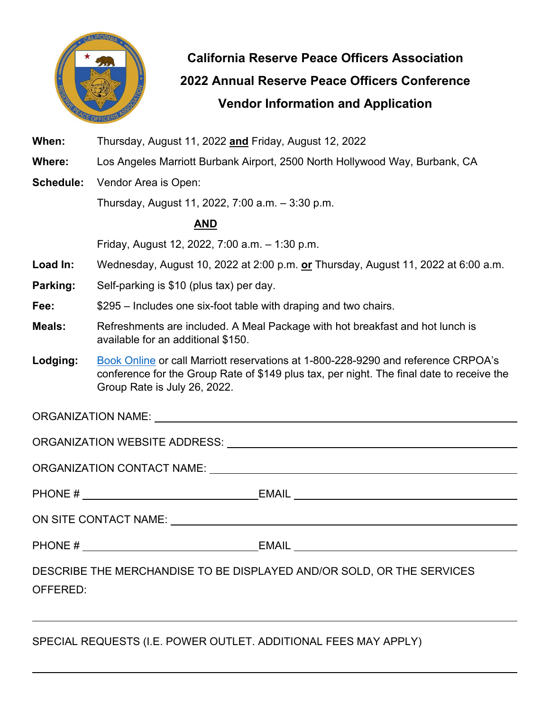

## **California Reserve Peace Officers Association 2022 Annual Reserve Peace Officers Conference Vendor Information and Application**

**When:** Thursday, August 11, 2022 **and** Friday, August 12, 2022

- **Where:** Los Angeles Marriott Burbank Airport, 2500 North Hollywood Way, Burbank, CA
- **Schedule:** Vendor Area is Open:

Thursday, August 11, 2022, 7:00 a.m. – 3:30 p.m.

## **AND**

Friday, August 12, 2022, 7:00 a.m. – 1:30 p.m.

- **Load In:** Wednesday, August 10, 2022 at 2:00 p.m. **or** Thursday, August 11, 2022 at 6:00 a.m.
- **Parking:** Self-parking is \$10 (plus tax) per day.
- **Fee:** \$295 Includes one six-foot table with draping and two chairs.
- **Meals:** Refreshments are included. A Meal Package with hot breakfast and hot lunch is available for an additional \$150.
- Lodging: [Book Online](https://crpoa.org/arpoc-conference/information/hotel-and-parking/) or call Marriott reservations at 1-800-228-9290 and reference CRPOA's conference for the Group Rate of \$149 plus tax, per night. The final date to receive the Group Rate is July 26, 2022.

ORGANIZATION NAME:

ORGANIZATION WEBSITE ADDRESS:

ORGANIZATION CONTACT NAME:

ON SITE CONTACT NAME:  $\sqrt{2\pi}$ 

PHONE # EMAIL EMAIL

DESCRIBE THE MERCHANDISE TO BE DISPLAYED AND/OR SOLD, OR THE SERVICES OFFERED:

SPECIAL REQUESTS (I.E. POWER OUTLET. ADDITIONAL FEES MAY APPLY)